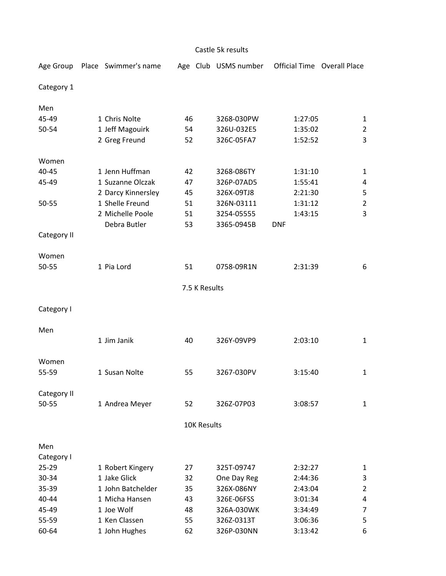| Castle 5k results |  |                      |    |                    |                      |            |         |                                    |  |  |  |  |
|-------------------|--|----------------------|----|--------------------|----------------------|------------|---------|------------------------------------|--|--|--|--|
| Age Group         |  | Place Swimmer's name |    |                    | Age Club USMS number |            |         | <b>Official Time Overall Place</b> |  |  |  |  |
| Category 1        |  |                      |    |                    |                      |            |         |                                    |  |  |  |  |
| Men               |  |                      |    |                    |                      |            |         |                                    |  |  |  |  |
| 45-49             |  | 1 Chris Nolte        | 46 |                    | 3268-030PW           |            | 1:27:05 | 1                                  |  |  |  |  |
| 50-54             |  | 1 Jeff Magouirk      | 54 |                    | 326U-032E5           |            | 1:35:02 | $\overline{2}$                     |  |  |  |  |
|                   |  | 2 Greg Freund        | 52 |                    | 326C-05FA7           |            | 1:52:52 | 3                                  |  |  |  |  |
| Women             |  |                      |    |                    |                      |            |         |                                    |  |  |  |  |
| 40-45             |  | 1 Jenn Huffman       | 42 |                    | 3268-086TY           |            | 1:31:10 | $\mathbf{1}$                       |  |  |  |  |
| 45-49             |  | 1 Suzanne Olczak     | 47 |                    | 326P-07AD5           |            | 1:55:41 | 4                                  |  |  |  |  |
|                   |  | 2 Darcy Kinnersley   | 45 |                    | 326X-09TJ8           |            | 2:21:30 | 5                                  |  |  |  |  |
| 50-55             |  | 1 Shelle Freund      | 51 |                    | 326N-03111           |            | 1:31:12 | $\overline{2}$                     |  |  |  |  |
|                   |  | 2 Michelle Poole     | 51 |                    | 3254-05555           |            | 1:43:15 | 3                                  |  |  |  |  |
|                   |  | Debra Butler         | 53 |                    | 3365-0945B           | <b>DNF</b> |         |                                    |  |  |  |  |
| Category II       |  |                      |    |                    |                      |            |         |                                    |  |  |  |  |
| Women             |  |                      |    |                    |                      |            |         |                                    |  |  |  |  |
| 50-55             |  | 1 Pia Lord           | 51 |                    | 0758-09R1N           |            | 2:31:39 | 6                                  |  |  |  |  |
| 7.5 K Results     |  |                      |    |                    |                      |            |         |                                    |  |  |  |  |
| Category I        |  |                      |    |                    |                      |            |         |                                    |  |  |  |  |
| Men               |  |                      |    |                    |                      |            |         |                                    |  |  |  |  |
|                   |  | 1 Jim Janik          | 40 |                    | 326Y-09VP9           |            | 2:03:10 | $\mathbf{1}$                       |  |  |  |  |
| Women             |  |                      |    |                    |                      |            |         |                                    |  |  |  |  |
| 55-59             |  | 1 Susan Nolte        | 55 |                    | 3267-030PV           |            | 3:15:40 | 1                                  |  |  |  |  |
| Category II       |  |                      |    |                    |                      |            |         |                                    |  |  |  |  |
| $50 - 55$         |  | 1 Andrea Meyer       | 52 |                    | 326Z-07P03           |            | 3:08:57 | $\mathbf{1}$                       |  |  |  |  |
|                   |  |                      |    | <b>10K Results</b> |                      |            |         |                                    |  |  |  |  |
| Men               |  |                      |    |                    |                      |            |         |                                    |  |  |  |  |
| Category I        |  |                      |    |                    |                      |            |         |                                    |  |  |  |  |
| $25 - 29$         |  | 1 Robert Kingery     | 27 |                    | 325T-09747           |            | 2:32:27 | 1                                  |  |  |  |  |
| 30-34             |  | 1 Jake Glick         | 32 |                    | One Day Reg          |            | 2:44:36 | 3                                  |  |  |  |  |
| 35-39             |  | 1 John Batchelder    | 35 |                    | 326X-086NY           |            | 2:43:04 | $\overline{2}$                     |  |  |  |  |
| 40-44             |  | 1 Micha Hansen       | 43 |                    | 326E-06FSS           |            | 3:01:34 | 4                                  |  |  |  |  |
| 45-49             |  | 1 Joe Wolf           | 48 |                    | 326A-030WK           |            | 3:34:49 | 7                                  |  |  |  |  |
| 55-59             |  | 1 Ken Classen        | 55 |                    | 326Z-0313T           |            | 3:06:36 | 5                                  |  |  |  |  |
| 60-64             |  | 1 John Hughes        | 62 |                    | 326P-030NN           |            | 3:13:42 | 6                                  |  |  |  |  |